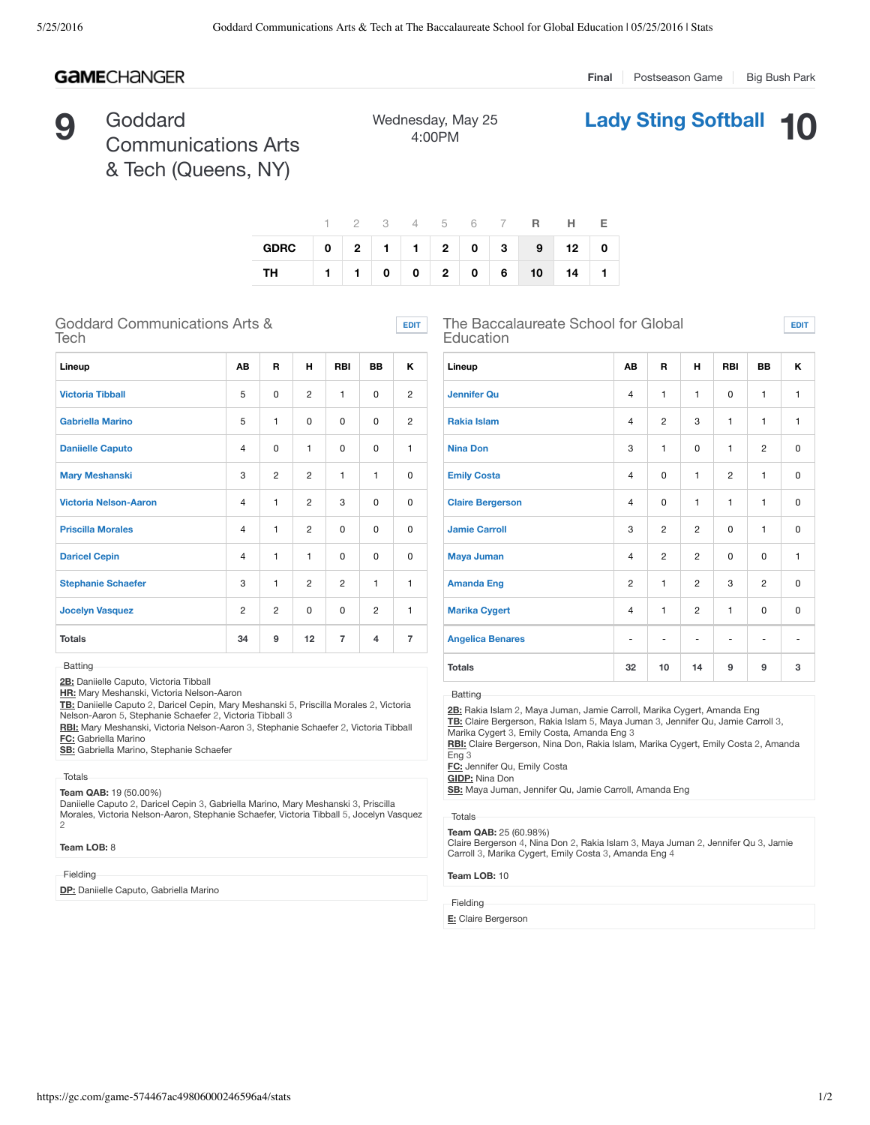# **GAME**CHANGER

**9** Goddard Communications Arts & Tech (Queens, NY)

Wednesday, May 25 4:00PM



**Final** Postseason Game | Big Bush Park

**EDIT**

|                           |  |  |  | 1 2 3 4 5 6 7 <b>R H E</b> |  |
|---------------------------|--|--|--|----------------------------|--|
| GDRC 0 2 1 1 2 0 3 9 12 0 |  |  |  |                            |  |
| TH 1 1 0 0 2 0 6 10 14 1  |  |  |  |                            |  |

**EDIT**

Goddard Communications Arts & **Tech** 

| Lineup                       | AB                      | R              | н              | <b>RBI</b>     | <b>BB</b>      | ĸ              |
|------------------------------|-------------------------|----------------|----------------|----------------|----------------|----------------|
| <b>Victoria Tibball</b>      |                         | 0              | $\overline{2}$ | $\mathbf{1}$   | $\Omega$       | $\overline{2}$ |
| <b>Gabriella Marino</b>      |                         | 1              | $\Omega$       | 0              | $\Omega$       | $\overline{2}$ |
| <b>Daniielle Caputo</b>      | $\overline{4}$          | 0              | 1              | $\Omega$       | $\Omega$       | $\mathbf{1}$   |
| <b>Mary Meshanski</b>        | 3                       | $\overline{c}$ | $\overline{2}$ | $\mathbf{1}$   | $\mathbf{1}$   | $\Omega$       |
| <b>Victoria Nelson-Aaron</b> | $\overline{\mathbf{4}}$ | 1              | 2              | 3              | $\Omega$       | 0              |
| <b>Priscilla Morales</b>     | $\overline{\mathbf{4}}$ | 1              | $\overline{2}$ | $\Omega$       | $\Omega$       | 0              |
| <b>Daricel Cepin</b>         | $\overline{\mathbf{4}}$ | 1              | 1              | $\Omega$       | $\Omega$       | $\Omega$       |
| <b>Stephanie Schaefer</b>    | 3                       | 1              | 2              | $\overline{2}$ | $\mathbf{1}$   | $\mathbf{1}$   |
| <b>Jocelyn Vasquez</b>       | $\overline{2}$          | $\overline{2}$ | $\Omega$       | $\Omega$       | $\overline{2}$ | $\mathbf{1}$   |
| <b>Totals</b>                | 34                      | 9              | 12             | $\overline{7}$ | 4              | $\overline{7}$ |

## The Baccalaureate School for Global Education

| Lineup                  | AВ             | R              | н              | <b>RBI</b>     | BB             | Κ            |
|-------------------------|----------------|----------------|----------------|----------------|----------------|--------------|
| <b>Jennifer Qu</b>      | $\overline{4}$ | $\mathbf{1}$   | $\mathbf{1}$   | 0              | $\mathbf{1}$   | $\mathbf{1}$ |
| Rakia Islam             | $\overline{4}$ | $\overline{c}$ | 3              | $\mathbf{1}$   | $\mathbf{1}$   | $\mathbf{1}$ |
| <b>Nina Don</b>         | 3              | $\mathbf{1}$   | 0              | $\mathbf{1}$   | $\overline{c}$ | 0            |
| <b>Emily Costa</b>      | $\overline{4}$ | 0              | $\mathbf{1}$   | $\overline{c}$ | $\mathbf{1}$   | 0            |
| <b>Claire Bergerson</b> | $\overline{4}$ | 0              | $\mathbf{1}$   | $\mathbf{1}$   | $\mathbf{1}$   | $\mathbf 0$  |
| <b>Jamie Carroll</b>    | 3              | $\overline{c}$ | $\overline{c}$ | $\mathbf 0$    | $\mathbf{1}$   | 0            |
| Maya Juman              | $\overline{4}$ | $\overline{c}$ | $\overline{c}$ | $\mathbf 0$    | $\mathbf 0$    | $\mathbf{1}$ |
| <b>Amanda Eng</b>       | 2              | $\mathbf{1}$   | 2              | 3              | $\overline{c}$ | 0            |
| <b>Marika Cygert</b>    | $\overline{4}$ | $\mathbf{1}$   | 2              | 1              | $\mathbf 0$    | 0            |
| <b>Angelica Benares</b> | ٠              |                | ٠              | ۰              |                |              |
| <b>Totals</b>           | 32             | 10             | 14             | 9              | 9              | 3            |
|                         |                |                |                |                |                |              |

Batting

**2B:** Rakia Islam 2, Maya Juman, Jamie Carroll, Marika Cygert, Amanda Eng **TB:** Claire Bergerson, Rakia Islam 5, Maya Juman 3, Jennifer Qu, Jamie Carroll 3,

Marika Cygert 3, Emily Costa, Amanda Eng 3 **RBI:** Claire Bergerson, Nina Don, Rakia Islam, Marika Cygert, Emily Costa 2, Amanda

Eng 3

**FC:** Jennifer Qu, Emily Costa

**GIDP:** Nina Don

**SB:** Maya Juman, Jennifer Qu, Jamie Carroll, Amanda Eng

### **Totals**

**Team QAB:** 25 (60.98%)

Claire Bergerson 4, Nina Don 2, Rakia Islam 3, Maya Juman 2, Jennifer Qu 3, Jamie Carroll 3, Marika Cygert, Emily Costa 3, Amanda Eng 4

#### **Team LOB:** 10

**Fielding** 

**E:** Claire Bergerson

Totals

**SB:** Gabriella Marino, Stephanie Schaefer

**2B:** Daniielle Caputo, Victoria Tibball **HR:** Mary Meshanski, Victoria Nelson-Aaron

Nelson-Aaron 5, Stephanie Schaefer 2, Victoria Tibball 3

#### **Team QAB:** 19 (50.00%)

**FC:** Gabriella Marino

Daniielle Caputo 2, Daricel Cepin 3, Gabriella Marino, Mary Meshanski 3, Priscilla Morales, Victoria Nelson-Aaron, Stephanie Schaefer, Victoria Tibball 5, Jocelyn Vasquez 2

**TB:** Daniielle Caputo 2, Daricel Cepin, Mary Meshanski 5, Priscilla Morales 2, Victoria

**RBI:** Mary Meshanski, Victoria Nelson-Aaron 3, Stephanie Schaefer 2, Victoria Tibball

#### **Team LOB:** 8

Fielding

Batting

**DP:** Daniielle Caputo, Gabriella Marino